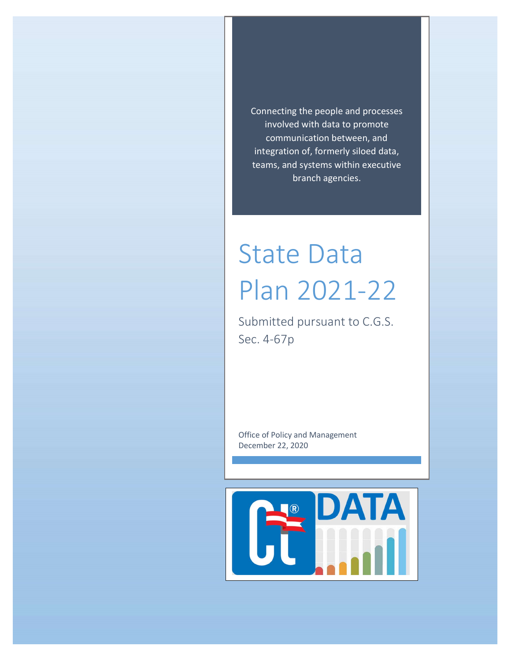Connecting the people and processes involved with data to promote communication between, and integration of, formerly siloed data, teams, and systems within executive branch agencies.

# State Data Plan 2021-22

Submitted pursuant to C.G.S. Sec. 4-67p

Office of Policy and Management December 22, 2020

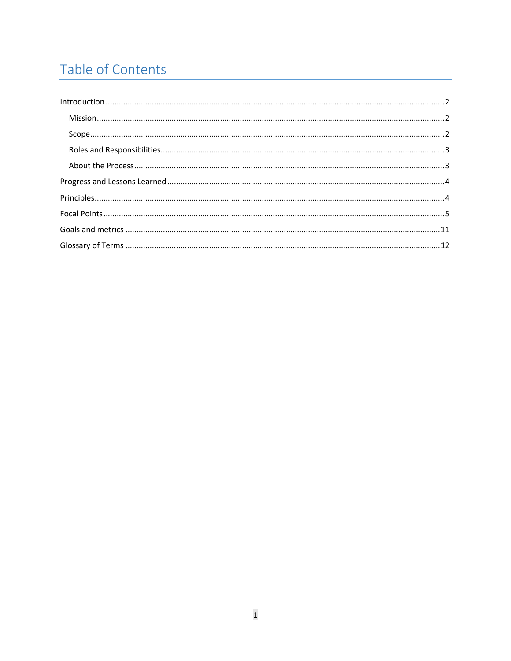# Table of Contents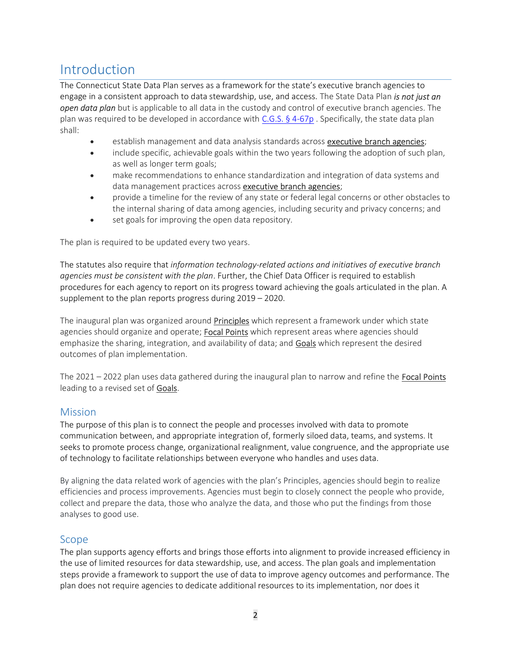# Introduction

The Connecticut State Data Plan serves as a framework for the state's executive branch agencies to engage in a consistent approach to data stewardship, use, and access. The State Data Plan is not just an **open data plan** but is applicable to all data in the custody and control of executive branch agencies. The plan was required to be developed in accordance with C.G.S. § 4-67p. Specifically, the state data plan shall:

- establish management and data analysis standards across **executive branch agencies**;
- include specific, achievable goals within the two years following the adoption of such plan, as well as longer term goals;
- make recommendations to enhance standardization and integration of data systems and data management practices across executive branch agencies;
- provide a timeline for the review of any state or federal legal concerns or other obstacles to the internal sharing of data among agencies, including security and privacy concerns; and
- set goals for improving the open data repository.

The plan is required to be updated every two years.

The statutes also require that information technology-related actions and initiatives of executive branch agencies must be consistent with the plan. Further, the Chief Data Officer is required to establish procedures for each agency to report on its progress toward achieving the goals articulated in the plan. A supplement to the plan reports progress during 2019 – 2020.

The inaugural plan was organized around **Principles** which represent a framework under which state agencies should organize and operate; **Focal Points** which represent areas where agencies should emphasize the sharing, integration, and availability of data; and Goals which represent the desired outcomes of plan implementation.

The  $2021 - 2022$  plan uses data gathered during the inaugural plan to narrow and refine the **Focal Points** leading to a revised set of **Goals**.

#### **Mission**

The purpose of this plan is to connect the people and processes involved with data to promote communication between, and appropriate integration of, formerly siloed data, teams, and systems. It seeks to promote process change, organizational realignment, value congruence, and the appropriate use of technology to facilitate relationships between everyone who handles and uses data.

By aligning the data related work of agencies with the plan's Principles, agencies should begin to realize efficiencies and process improvements. Agencies must begin to closely connect the people who provide, collect and prepare the data, those who analyze the data, and those who put the findings from those analyses to good use.

#### Scope

The plan supports agency efforts and brings those efforts into alignment to provide increased efficiency in the use of limited resources for data stewardship, use, and access. The plan goals and implementation steps provide a framework to support the use of data to improve agency outcomes and performance. The plan does not require agencies to dedicate additional resources to its implementation, nor does it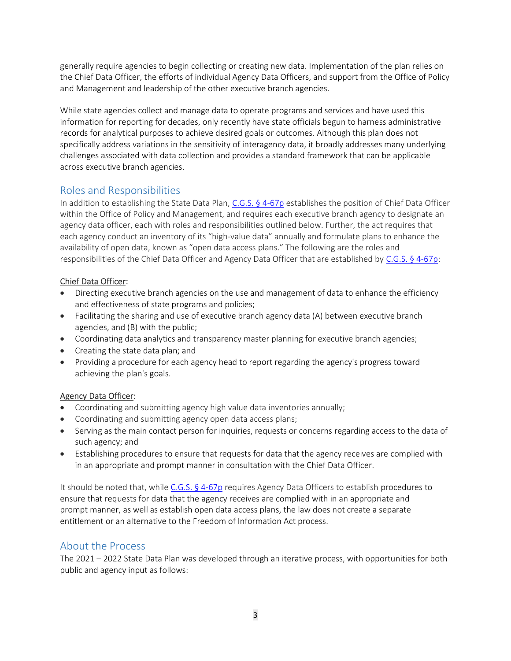generally require agencies to begin collecting or creating new data. Implementation of the plan relies on the Chief Data Officer, the efforts of individual Agency Data Officers, and support from the Office of Policy and Management and leadership of the other executive branch agencies.

While state agencies collect and manage data to operate programs and services and have used this information for reporting for decades, only recently have state officials begun to harness administrative records for analytical purposes to achieve desired goals or outcomes. Although this plan does not specifically address variations in the sensitivity of interagency data, it broadly addresses many underlying challenges associated with data collection and provides a standard framework that can be applicable across executive branch agencies.

### Roles and Responsibilities

In addition to establishing the State Data Plan, C.G.S. § 4-67p establishes the position of Chief Data Officer within the Office of Policy and Management, and requires each executive branch agency to designate an agency data officer, each with roles and responsibilities outlined below. Further, the act requires that each agency conduct an inventory of its "high-value data" annually and formulate plans to enhance the availability of open data, known as "open data access plans." The following are the roles and responsibilities of the Chief Data Officer and Agency Data Officer that are established by C.G.S. § 4-67p:

#### Chief Data Officer:

- Directing executive branch agencies on the use and management of data to enhance the efficiency and effectiveness of state programs and policies;
- Facilitating the sharing and use of executive branch agency data (A) between executive branch agencies, and (B) with the public;
- Coordinating data analytics and transparency master planning for executive branch agencies;
- Creating the state data plan; and
- Providing a procedure for each agency head to report regarding the agency's progress toward achieving the plan's goals.

#### Agency Data Officer:

- Coordinating and submitting agency high value data inventories annually;
- Coordinating and submitting agency open data access plans;
- Serving as the main contact person for inquiries, requests or concerns regarding access to the data of such agency; and
- Establishing procedures to ensure that requests for data that the agency receives are complied with in an appropriate and prompt manner in consultation with the Chief Data Officer.

It should be noted that, while C.G.S. § 4-67p requires Agency Data Officers to establish procedures to ensure that requests for data that the agency receives are complied with in an appropriate and prompt manner, as well as establish open data access plans, the law does not create a separate entitlement or an alternative to the Freedom of Information Act process.

## About the Process

The 2021 – 2022 State Data Plan was developed through an iterative process, with opportunities for both public and agency input as follows: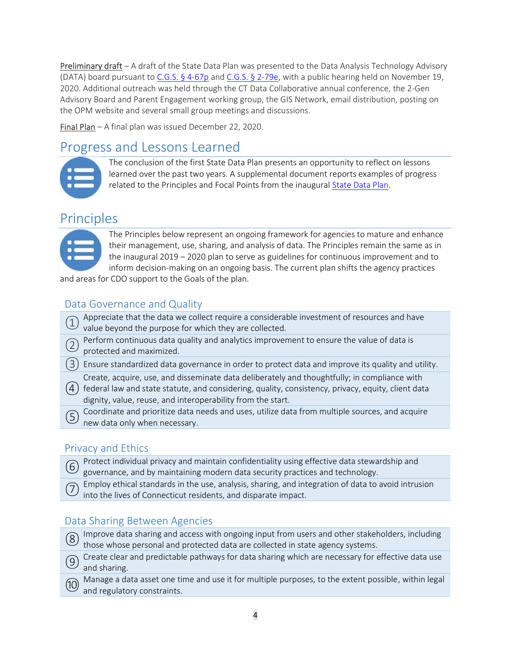Preliminary draft – A draft of the State Data Plan was presented to the Data Analysis Technology Advisory (DATA) board pursuant to C.G.S. § 4-67p and C.G.S. § 2-79e, with a public hearing held on November 19, 2020. Additional outreach was held through the CT Data Collaborative annual conference, the 2-Gen Advisory Board and Parent Engagement working group, the GIS Network, email distribution, posting on the OPM website and several small group meetings and discussions.

Final Plan – A final plan was issued December 22, 2020.

# Progress and Lessons Learned

| <u>manna</u> |
|--------------|
|              |
|              |
|              |

The conclusion of the first State Data Plan presents an opportunity to reflect on lessons learned over the past two years. A supplemental document reports examples of progress related to the Principles and Focal Points from the inaugural State Data Plan.

# **Principles**



The Principles below represent an ongoing framework for agencies to mature and enhance their management, use, sharing, and analysis of data. The Principles remain the same as in the inaugural 2019 – 2020 plan to serve as guidelines for continuous improvement and to inform decision-making on an ongoing basis. The current plan shifts the agency practices

and areas for CDO support to the Goals of the plan.

## Data Governance and Quality

- Appreciate that the data we collect require a considerable investment of resources and have  $'$  value beyond the purpose for which they are collected.
- Perform continuous data quality and analytics improvement to ensure the value of data is protected and maximized.
- $(3)$  Ensure standardized data governance in order to protect data and improve its quality and utility.
- Create, acquire, use, and disseminate data deliberately and thoughtfully; in compliance with
- ④ federal law and state statute, and considering, quality, consistency, privacy, equity, client data dignity, value, reuse, and interoperability from the start.
- ⑤ Coordinate and prioritize data needs and uses, utilize data from multiple sources, and acquire new data only when necessary.

## Privacy and Ethics

- Protect individual privacy and maintain confidentiality using effective data stewardship and governance, and by maintaining modern data security practices and technology.
	- Employ ethical standards in the use, analysis, sharing, and integration of data to avoid intrusion into the lives of Connecticut residents, and disparate impact.

## Data Sharing Between Agencies

and regulatory constraints.

(8) Improve data sharing and access with ongoing input from users and other stakeholders, including  $'$  those whose personal and protected data are collected in state agency systems. ⑨ Create clear and predictable pathways for data sharing which are necessary for effective data use and sharing. ⑩ Manage a data asset one time and use it for multiple purposes, to the extent possible, within legal

4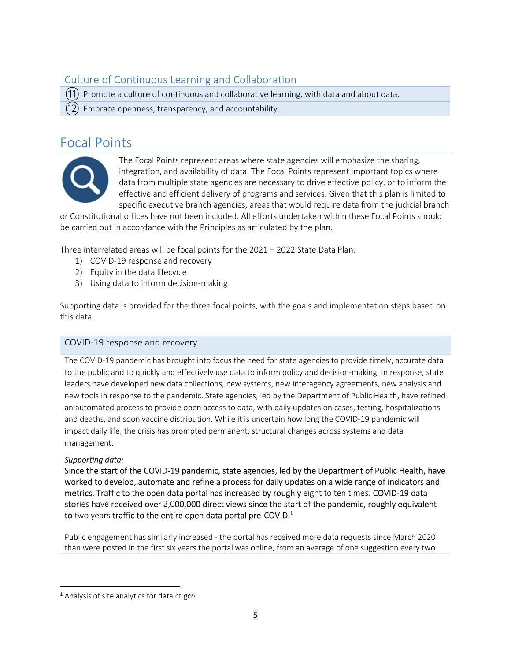## Culture of Continuous Learning and Collaboration

 $(11)$  Promote a culture of continuous and collaborative learning, with data and about data.

 $(12)$  Embrace openness, transparency, and accountability.

## Focal Points



The Focal Points represent areas where state agencies will emphasize the sharing, integration, and availability of data. The Focal Points represent important topics where data from multiple state agencies are necessary to drive effective policy, or to inform the effective and efficient delivery of programs and services. Given that this plan is limited to specific executive branch agencies, areas that would require data from the judicial branch

or Constitutional offices have not been included. All efforts undertaken within these Focal Points should be carried out in accordance with the Principles as articulated by the plan.

Three interrelated areas will be focal points for the 2021 – 2022 State Data Plan:

- 1) COVID-19 response and recovery
- 2) Equity in the data lifecycle
- 3) Using data to inform decision-making

Supporting data is provided for the three focal points, with the goals and implementation steps based on this data.

#### COVID-19 response and recovery

The COVID-19 pandemic has brought into focus the need for state agencies to provide timely, accurate data to the public and to quickly and effectively use data to inform policy and decision-making. In response, state leaders have developed new data collections, new systems, new interagency agreements, new analysis and new tools in response to the pandemic. State agencies, led by the Department of Public Health, have refined an automated process to provide open access to data, with daily updates on cases, testing, hospitalizations and deaths, and soon vaccine distribution. While it is uncertain how long the COVID-19 pandemic will impact daily life, the crisis has prompted permanent, structural changes across systems and data management.

#### Supporting data:

Since the start of the COVID-19 pandemic, state agencies, led by the Department of Public Health, have worked to develop, automate and refine a process for daily updates on a wide range of indicators and metrics. Traffic to the open data portal has increased by roughly eight to ten times. COVID-19 data stories have received over 2,000,000 direct views since the start of the pandemic, roughly equivalent to two years traffic to the entire open data portal pre-COVID.<sup>1</sup>

Public engagement has similarly increased - the portal has received more data requests since March 2020 than were posted in the first six years the portal was online, from an average of one suggestion every two

<sup>1</sup> Analysis of site analytics for data.ct.gov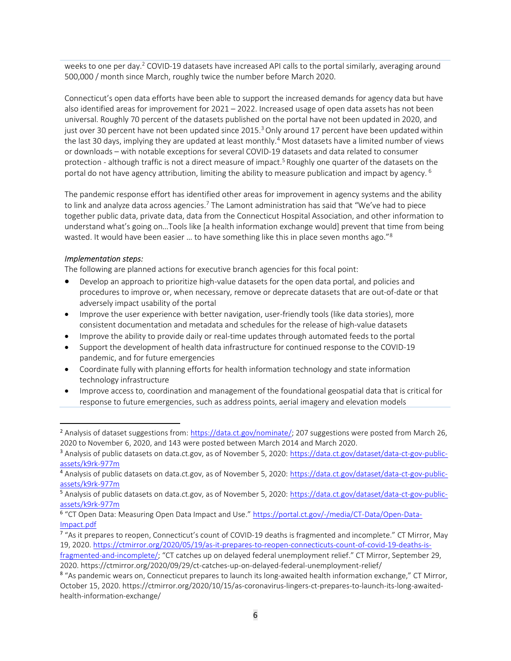weeks to one per day.<sup>2</sup> COVID-19 datasets have increased API calls to the portal similarly, averaging around 500,000 / month since March, roughly twice the number before March 2020.

Connecticut's open data efforts have been able to support the increased demands for agency data but have also identified areas for improvement for 2021 – 2022. Increased usage of open data assets has not been universal. Roughly 70 percent of the datasets published on the portal have not been updated in 2020, and just over 30 percent have not been updated since 2015.<sup>3</sup> Only around 17 percent have been updated within the last 30 days, implying they are updated at least monthly.<sup>4</sup> Most datasets have a limited number of views or downloads – with notable exceptions for several COVID-19 datasets and data related to consumer protection - although traffic is not a direct measure of impact.<sup>5</sup> Roughly one quarter of the datasets on the portal do not have agency attribution, limiting the ability to measure publication and impact by agency.<sup>6</sup>

The pandemic response effort has identified other areas for improvement in agency systems and the ability to link and analyze data across agencies.<sup>7</sup> The Lamont administration has said that "We've had to piece together public data, private data, data from the Connecticut Hospital Association, and other information to understand what's going on…Tools like [a health information exchange would] prevent that time from being wasted. It would have been easier ... to have something like this in place seven months ago."<sup>8</sup>

#### Implementation steps:

The following are planned actions for executive branch agencies for this focal point:

- Develop an approach to prioritize high-value datasets for the open data portal, and policies and procedures to improve or, when necessary, remove or deprecate datasets that are out-of-date or that adversely impact usability of the portal
- Improve the user experience with better navigation, user-friendly tools (like data stories), more consistent documentation and metadata and schedules for the release of high-value datasets
- Improve the ability to provide daily or real-time updates through automated feeds to the portal
- Support the development of health data infrastructure for continued response to the COVID-19 pandemic, and for future emergencies
- Coordinate fully with planning efforts for health information technology and state information technology infrastructure
- Improve access to, coordination and management of the foundational geospatial data that is critical for response to future emergencies, such as address points, aerial imagery and elevation models

<sup>&</sup>lt;sup>2</sup> Analysis of dataset suggestions from: https://data.ct.gov/nominate/; 207 suggestions were posted from March 26, 2020 to November 6, 2020, and 143 were posted between March 2014 and March 2020.

<sup>3</sup> Analysis of public datasets on data.ct.gov, as of November 5, 2020: https://data.ct.gov/dataset/data-ct-gov-publicassets/k9rk-977m

<sup>4</sup> Analysis of public datasets on data.ct.gov, as of November 5, 2020: https://data.ct.gov/dataset/data-ct-gov-publicassets/k9rk-977m

<sup>&</sup>lt;sup>5</sup> Analysis of public datasets on data.ct.gov, as of November 5, 2020: https://data.ct.gov/dataset/data-ct-gov-publicassets/k9rk-977m

<sup>6</sup> "CT Open Data: Measuring Open Data Impact and Use." https://portal.ct.gov/-/media/CT-Data/Open-Data-Impact.pdf

<sup>&</sup>lt;sup>7</sup> "As it prepares to reopen, Connecticut's count of COVID-19 deaths is fragmented and incomplete." CT Mirror, May 19, 2020. https://ctmirror.org/2020/05/19/as-it-prepares-to-reopen-connecticuts-count-of-covid-19-deaths-is-

fragmented-and-incomplete/; "CT catches up on delayed federal unemployment relief." CT Mirror, September 29, 2020. https://ctmirror.org/2020/09/29/ct-catches-up-on-delayed-federal-unemployment-relief/

<sup>8</sup> "As pandemic wears on, Connecticut prepares to launch its long-awaited health information exchange," CT Mirror, October 15, 2020. https://ctmirror.org/2020/10/15/as-coronavirus-lingers-ct-prepares-to-launch-its-long-awaitedhealth-information-exchange/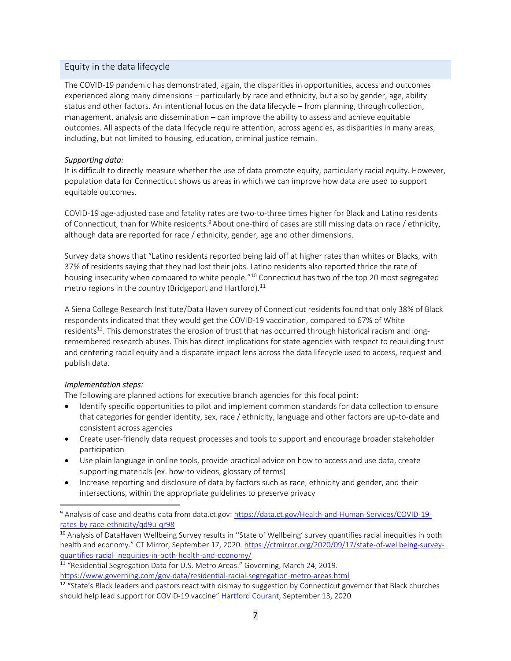#### Equity in the data lifecycle

The COVID-19 pandemic has demonstrated, again, the disparities in opportunities, access and outcomes experienced along many dimensions – particularly by race and ethnicity, but also by gender, age, ability status and other factors. An intentional focus on the data lifecycle – from planning, through collection, management, analysis and dissemination – can improve the ability to assess and achieve equitable outcomes. All aspects of the data lifecycle require attention, across agencies, as disparities in many areas, including, but not limited to housing, education, criminal justice remain.

#### Supporting data:

It is difficult to directly measure whether the use of data promote equity, particularly racial equity. However, population data for Connecticut shows us areas in which we can improve how data are used to support equitable outcomes.

COVID-19 age-adjusted case and fatality rates are two-to-three times higher for Black and Latino residents of Connecticut, than for White residents.<sup>9</sup> About one-third of cases are still missing data on race / ethnicity, although data are reported for race / ethnicity, gender, age and other dimensions.

Survey data shows that "Latino residents reported being laid off at higher rates than whites or Blacks, with 37% of residents saying that they had lost their jobs. Latino residents also reported thrice the rate of housing insecurity when compared to white people."<sup>10</sup> Connecticut has two of the top 20 most segregated metro regions in the country (Bridgeport and Hartford). $^{11}$ 

A Siena College Research Institute/Data Haven survey of Connecticut residents found that only 38% of Black respondents indicated that they would get the COVID-19 vaccination, compared to 67% of White residents<sup>12</sup>. This demonstrates the erosion of trust that has occurred through historical racism and longremembered research abuses. This has direct implications for state agencies with respect to rebuilding trust and centering racial equity and a disparate impact lens across the data lifecycle used to access, request and publish data.

#### Implementation steps:

The following are planned actions for executive branch agencies for this focal point:

- Identify specific opportunities to pilot and implement common standards for data collection to ensure that categories for gender identity, sex, race / ethnicity, language and other factors are up-to-date and consistent across agencies
- Create user-friendly data request processes and tools to support and encourage broader stakeholder participation
- Use plain language in online tools, provide practical advice on how to access and use data, create supporting materials (ex. how-to videos, glossary of terms)
- Increase reporting and disclosure of data by factors such as race, ethnicity and gender, and their intersections, within the appropriate guidelines to preserve privacy

<sup>9</sup> Analysis of case and deaths data from data.ct.gov: https://data.ct.gov/Health-and-Human-Services/COVID-19 rates-by-race-ethnicity/qd9u-qr98

<sup>10</sup> Analysis of DataHaven Wellbeing Survey results in "State of Wellbeing' survey quantifies racial inequities in both health and economy." CT Mirror, September 17, 2020. https://ctmirror.org/2020/09/17/state-of-wellbeing-surveyquantifies-racial-inequities-in-both-health-and-economy/

<sup>11</sup> "Residential Segregation Data for U.S. Metro Areas." Governing, March 24, 2019. https://www.governing.com/gov-data/residential-racial-segregation-metro-areas.html

<sup>&</sup>lt;sup>12</sup> "State's Black leaders and pastors react with dismay to suggestion by Connecticut governor that Black churches should help lead support for COVID-19 vaccine" Hartford Courant, September 13, 2020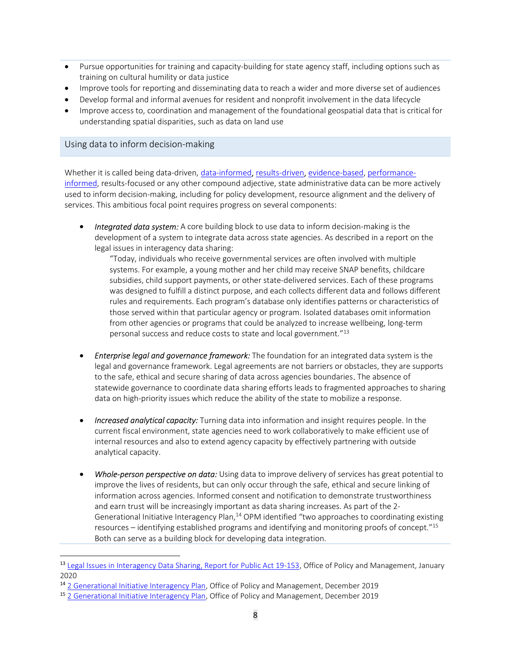- Pursue opportunities for training and capacity-building for state agency staff, including options such as training on cultural humility or data justice
- Improve tools for reporting and disseminating data to reach a wider and more diverse set of audiences
- Develop formal and informal avenues for resident and nonprofit involvement in the data lifecycle
- Improve access to, coordination and management of the foundational geospatial data that is critical for understanding spatial disparities, such as data on land use

#### Using data to inform decision-making

Whether it is called being data-driven, data-informed, results-driven, evidence-based, performanceinformed, results-focused or any other compound adjective, state administrative data can be more actively used to inform decision-making, including for policy development, resource alignment and the delivery of services. This ambitious focal point requires progress on several components:

**Integrated data system:** A core building block to use data to inform decision-making is the development of a system to integrate data across state agencies. As described in a report on the legal issues in interagency data sharing:

"Today, individuals who receive governmental services are often involved with multiple systems. For example, a young mother and her child may receive SNAP benefits, childcare subsidies, child support payments, or other state-delivered services. Each of these programs was designed to fulfill a distinct purpose, and each collects different data and follows different rules and requirements. Each program's database only identifies patterns or characteristics of those served within that particular agency or program. Isolated databases omit information from other agencies or programs that could be analyzed to increase wellbeing, long-term personal success and reduce costs to state and local government."<sup>13</sup>

- **Enterprise legal and governance framework:** The foundation for an integrated data system is the legal and governance framework. Legal agreements are not barriers or obstacles, they are supports to the safe, ethical and secure sharing of data across agencies boundaries. The absence of statewide governance to coordinate data sharing efforts leads to fragmented approaches to sharing data on high-priority issues which reduce the ability of the state to mobilize a response.
- **Increased analytical capacity:** Turning data into information and insight requires people. In the current fiscal environment, state agencies need to work collaboratively to make efficient use of internal resources and also to extend agency capacity by effectively partnering with outside analytical capacity.
- Whole-person perspective on data: Using data to improve delivery of services has great potential to improve the lives of residents, but can only occur through the safe, ethical and secure linking of information across agencies. Informed consent and notification to demonstrate trustworthiness and earn trust will be increasingly important as data sharing increases. As part of the 2- Generational Initiative Interagency Plan, $<sup>14</sup>$  OPM identified "two approaches to coordinating existing</sup> resources – identifying established programs and identifying and monitoring proofs of concept."<sup>15</sup> Both can serve as a building block for developing data integration.

<sup>&</sup>lt;sup>13</sup> Legal Issues in Interagency Data Sharing, Report for Public Act 19-153, Office of Policy and Management, January 2020

<sup>&</sup>lt;sup>14</sup> 2 Generational Initiative Interagency Plan, Office of Policy and Management, December 2019

<sup>15</sup> 2 Generational Initiative Interagency Plan, Office of Policy and Management, December 2019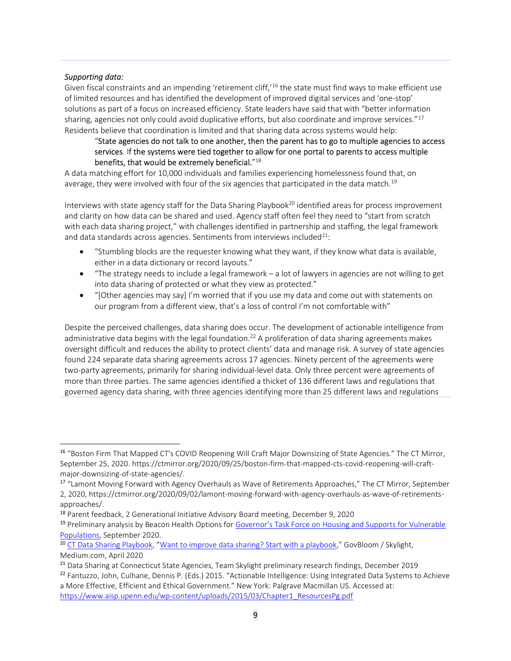#### Supporting data:

Given fiscal constraints and an impending 'retirement cliff,<sup>16</sup> the state must find ways to make efficient use of limited resources and has identified the development of improved digital services and 'one-stop' solutions as part of a focus on increased efficiency. State leaders have said that with "better information sharing, agencies not only could avoid duplicative efforts, but also coordinate and improve services."<sup>17</sup> Residents believe that coordination is limited and that sharing data across systems would help:

#### "State agencies do not talk to one another, then the parent has to go to multiple agencies to access services. If the systems were tied together to allow for one portal to parents to access multiple benefits, that would be extremely beneficial. $^{\prime\prime 18}$

A data matching effort for 10,000 individuals and families experiencing homelessness found that, on average, they were involved with four of the six agencies that participated in the data match.<sup>19</sup>

Interviews with state agency staff for the Data Sharing Playbook<sup>20</sup> identified areas for process improvement and clarity on how data can be shared and used. Agency staff often feel they need to "start from scratch with each data sharing project," with challenges identified in partnership and staffing, the legal framework and data standards across agencies. Sentiments from interviews included $21$ :

- "Stumbling blocks are the requester knowing what they want, if they know what data is available, either in a data dictionary or record layouts."
- "The strategy needs to include a legal framework a lot of lawyers in agencies are not willing to get into data sharing of protected or what they view as protected."
- "[Other agencies may say] I'm worried that if you use my data and come out with statements on our program from a different view, that's a loss of control I'm not comfortable with"

Despite the perceived challenges, data sharing does occur. The development of actionable intelligence from administrative data begins with the legal foundation.<sup>22</sup> A proliferation of data sharing agreements makes oversight difficult and reduces the ability to protect clients' data and manage risk. A survey of state agencies found 224 separate data sharing agreements across 17 agencies. Ninety percent of the agreements were two-party agreements, primarily for sharing individual-level data. Only three percent were agreements of more than three parties. The same agencies identified a thicket of 136 different laws and regulations that governed agency data sharing, with three agencies identifying more than 25 different laws and regulations

<sup>16</sup> "Boston Firm That Mapped CT's COVID Reopening Will Craft Major Downsizing of State Agencies." The CT Mirror, September 25, 2020. https://ctmirror.org/2020/09/25/boston-firm-that-mapped-cts-covid-reopening-will-craftmajor-downsizing-of-state-agencies/.

<sup>&</sup>lt;sup>17</sup> "Lamont Moving Forward with Agency Overhauls as Wave of Retirements Approaches," The CT Mirror, September 2, 2020, https://ctmirror.org/2020/09/02/lamont-moving-forward-with-agency-overhauls-as-wave-of-retirementsapproaches/.

<sup>&</sup>lt;sup>18</sup> Parent feedback, 2 Generational Initiative Advisory Board meeting, December 9, 2020

<sup>&</sup>lt;sup>19</sup> Preliminary analysis by Beacon Health Options for Governor's Task Force on Housing and Supports for Vulnerable Populations, September 2020.

<sup>&</sup>lt;sup>20</sup> CT Data Sharing Playbook, "Want to improve data sharing? Start with a playbook," GovBloom / Skylight, Medium.com, April 2020

<sup>&</sup>lt;sup>21</sup> Data Sharing at Connecticut State Agencies, Team Skylight preliminary research findings, December 2019

<sup>&</sup>lt;sup>22</sup> Fantuzzo, John, Culhane, Dennis P. (Eds.) 2015. "Actionable Intelligence: Using Integrated Data Systems to Achieve a More Effective, Efficient and Ethical Government." New York: Palgrave Macmillan US. Accessed at: https://www.aisp.upenn.edu/wp-content/uploads/2015/03/Chapter1\_ResourcesPg.pdf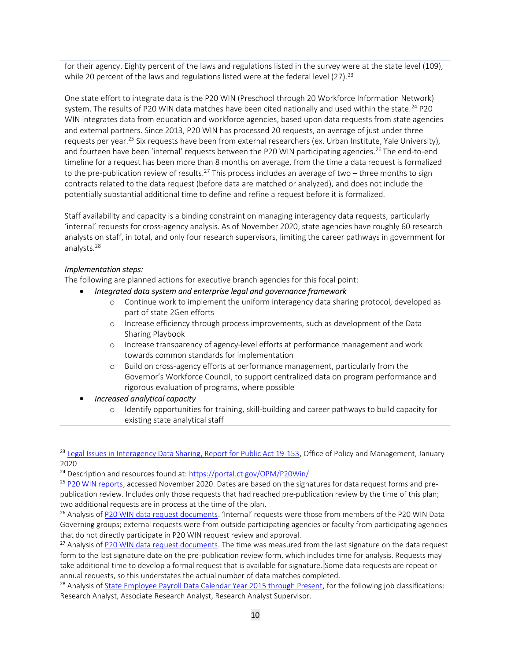for their agency. Eighty percent of the laws and regulations listed in the survey were at the state level (109), while 20 percent of the laws and regulations listed were at the federal level  $(27).^{23}$ 

One state effort to integrate data is the P20 WIN (Preschool through 20 Workforce Information Network) system. The results of P20 WIN data matches have been cited nationally and used within the state.<sup>24</sup> P20 WIN integrates data from education and workforce agencies, based upon data requests from state agencies and external partners. Since 2013, P20 WIN has processed 20 requests, an average of just under three requests per year.<sup>25</sup> Six requests have been from external researchers (ex. Urban Institute, Yale University), and fourteen have been 'internal' requests between the P20 WIN participating agencies.<sup>26</sup> The end-to-end timeline for a request has been more than 8 months on average, from the time a data request is formalized to the pre-publication review of results.<sup>27</sup> This process includes an average of two – three months to sign contracts related to the data request (before data are matched or analyzed), and does not include the potentially substantial additional time to define and refine a request before it is formalized.

Staff availability and capacity is a binding constraint on managing interagency data requests, particularly 'internal' requests for cross-agency analysis. As of November 2020, state agencies have roughly 60 research analysts on staff, in total, and only four research supervisors, limiting the career pathways in government for analysts.<sup>28</sup>

#### Implementation steps:

The following are planned actions for executive branch agencies for this focal point:

- Integrated data system and enterprise legal and governance framework
	- o Continue work to implement the uniform interagency data sharing protocol, developed as part of state 2Gen efforts
	- o Increase efficiency through process improvements, such as development of the Data Sharing Playbook
	- o Increase transparency of agency-level efforts at performance management and work towards common standards for implementation
	- o Build on cross-agency efforts at performance management, particularly from the Governor's Workforce Council, to support centralized data on program performance and rigorous evaluation of programs, where possible

#### Increased analytical capacity

o Identify opportunities for training, skill-building and career pathways to build capacity for existing state analytical staff

<sup>&</sup>lt;sup>23</sup> Legal Issues in Interagency Data Sharing, Report for Public Act 19-153, Office of Policy and Management, January 2020

<sup>24</sup> Description and resources found at: https://portal.ct.gov/OPM/P20Win/

<sup>25</sup> P20 WIN reports, accessed November 2020. Dates are based on the signatures for data request forms and prepublication review. Includes only those requests that had reached pre-publication review by the time of this plan; two additional requests are in process at the time of the plan.

<sup>&</sup>lt;sup>26</sup> Analysis of P20 WIN data request documents. 'Internal' requests were those from members of the P20 WIN Data Governing groups; external requests were from outside participating agencies or faculty from participating agencies that do not directly participate in P20 WIN request review and approval.

<sup>&</sup>lt;sup>27</sup> Analysis of P20 WIN data request documents. The time was measured from the last signature on the data request form to the last signature date on the pre-publication review form, which includes time for analysis. Requests may take additional time to develop a formal request that is available for signature. Some data requests are repeat or annual requests, so this understates the actual number of data matches completed.

<sup>&</sup>lt;sup>28</sup> Analysis of State Employee Payroll Data Calendar Year 2015 through Present, for the following job classifications: Research Analyst, Associate Research Analyst, Research Analyst Supervisor.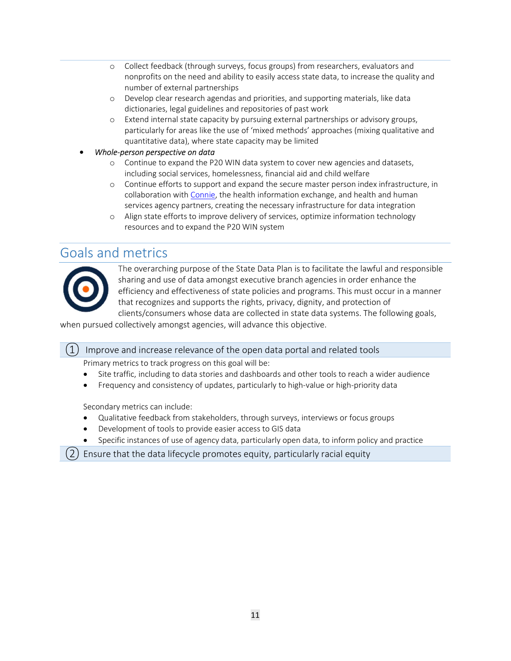- o Collect feedback (through surveys, focus groups) from researchers, evaluators and nonprofits on the need and ability to easily access state data, to increase the quality and number of external partnerships
- o Develop clear research agendas and priorities, and supporting materials, like data dictionaries, legal guidelines and repositories of past work
- o Extend internal state capacity by pursuing external partnerships or advisory groups, particularly for areas like the use of 'mixed methods' approaches (mixing qualitative and quantitative data), where state capacity may be limited
- Whole-person perspective on data
	- o Continue to expand the P20 WIN data system to cover new agencies and datasets, including social services, homelessness, financial aid and child welfare
	- o Continue efforts to support and expand the secure master person index infrastructure, in collaboration with Connie, the health information exchange, and health and human services agency partners, creating the necessary infrastructure for data integration
	- o Align state efforts to improve delivery of services, optimize information technology resources and to expand the P20 WIN system

## Goals and metrics



The overarching purpose of the State Data Plan is to facilitate the lawful and responsible sharing and use of data amongst executive branch agencies in order enhance the efficiency and effectiveness of state policies and programs. This must occur in a manner that recognizes and supports the rights, privacy, dignity, and protection of clients/consumers whose data are collected in state data systems. The following goals,

when pursued collectively amongst agencies, will advance this objective.

 $(1)$  Improve and increase relevance of the open data portal and related tools

Primary metrics to track progress on this goal will be:

- Site traffic, including to data stories and dashboards and other tools to reach a wider audience
- Frequency and consistency of updates, particularly to high-value or high-priority data

Secondary metrics can include:

- Qualitative feedback from stakeholders, through surveys, interviews or focus groups
- Development of tools to provide easier access to GIS data
- Specific instances of use of agency data, particularly open data, to inform policy and practice

 $(2)$  Ensure that the data lifecycle promotes equity, particularly racial equity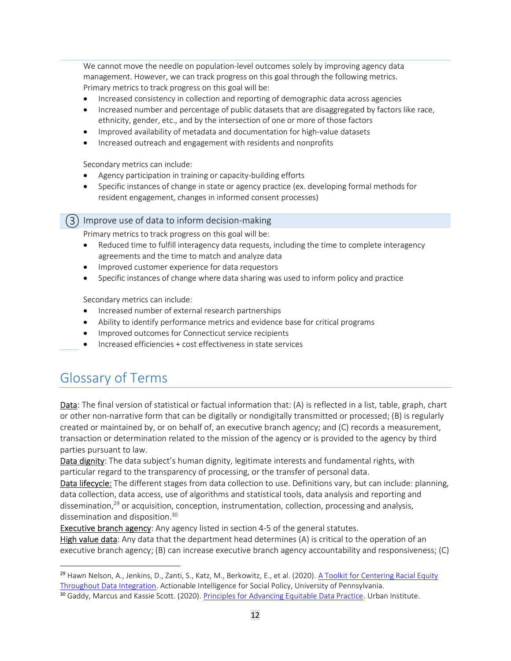We cannot move the needle on population-level outcomes solely by improving agency data management. However, we can track progress on this goal through the following metrics. Primary metrics to track progress on this goal will be:

- Increased consistency in collection and reporting of demographic data across agencies
- Increased number and percentage of public datasets that are disaggregated by factors like race, ethnicity, gender, etc., and by the intersection of one or more of those factors
- Improved availability of metadata and documentation for high-value datasets
- Increased outreach and engagement with residents and nonprofits

Secondary metrics can include:

- Agency participation in training or capacity-building efforts
- Specific instances of change in state or agency practice (ex. developing formal methods for resident engagement, changes in informed consent processes)

#### ③ Improve use of data to inform decision-making

Primary metrics to track progress on this goal will be:

- Reduced time to fulfill interagency data requests, including the time to complete interagency agreements and the time to match and analyze data
- Improved customer experience for data requestors
- Specific instances of change where data sharing was used to inform policy and practice

Secondary metrics can include:

- Increased number of external research partnerships
- Ability to identify performance metrics and evidence base for critical programs
- Improved outcomes for Connecticut service recipients
- Increased efficiencies + cost effectiveness in state services

# Glossary of Terms

Data: The final version of statistical or factual information that: (A) is reflected in a list, table, graph, chart or other non-narrative form that can be digitally or nondigitally transmitted or processed; (B) is regularly created or maintained by, or on behalf of, an executive branch agency; and (C) records a measurement, transaction or determination related to the mission of the agency or is provided to the agency by third parties pursuant to law.

Data dignity: The data subject's human dignity, legitimate interests and fundamental rights, with particular regard to the transparency of processing, or the transfer of personal data.

Data lifecycle: The different stages from data collection to use. Definitions vary, but can include: planning, data collection, data access, use of algorithms and statistical tools, data analysis and reporting and dissemination,<sup>29</sup> or acquisition, conception, instrumentation, collection, processing and analysis, dissemination and disposition.<sup>30</sup>

Executive branch agency: Any agency listed in section 4-5 of the general statutes.

**High value data:** Any data that the department head determines  $(A)$  is critical to the operation of an executive branch agency; (B) can increase executive branch agency accountability and responsiveness; (C)

<sup>&</sup>lt;sup>29</sup> Hawn Nelson, A., Jenkins, D., Zanti, S., Katz, M., Berkowitz, E., et al. (2020). A Toolkit for Centering Racial Equity Throughout Data Integration. Actionable Intelligence for Social Policy, University of Pennsylvania.

<sup>&</sup>lt;sup>30</sup> Gaddy, Marcus and Kassie Scott. (2020). Principles for Advancing Equitable Data Practice. Urban Institute.